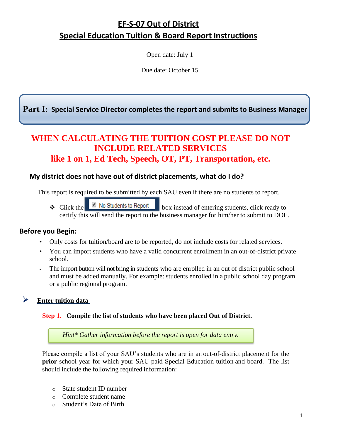# **EF-S-07 Out of District Special Education Tuition & Board Report Instructions**

Open date: July 1

Due date: October 15

**Part I: Special Service Director completes the report and submits to Business Manager**

## **WHEN CALCULATING THE TUITION COST PLEASE DO NOT INCLUDE RELATED SERVICES like 1 on 1, Ed Tech, Speech, OT, PT, Transportation, etc.**

#### **My district does not have out of district placements, what do I do?**

This report is required to be submitted by each SAU even if there are no students to report.

 $\triangle$  Click the **b** No Students to Report box instead of entering students, click ready to certify this will send the report to the business manager for him/her to submit to DOE.

#### **Before you Begin:**

- Only costs for tuition/board are to be reported, do not include costs for related services.
- You can import students who have a valid concurrent enrollment in an out-of-district private school.
- The import button will not bring in students who are enrolled in an out of district public school and must be added manually. For example: students enrolled in a public school day program or a public regional program.

### ➢ **Enter tuition data**

#### **Step 1. Compile the list of students who have been placed Out of District.**

*Hint\* Gather information before the report is open for data entry.*

Please compile a list of your SAU's students who are in an out-of-district placement for the **prior** school year for which your SAU paid Special Education tuition and board. The list should include the following required information:

- o State student ID number
- o Complete student name
- o Student's Date of Birth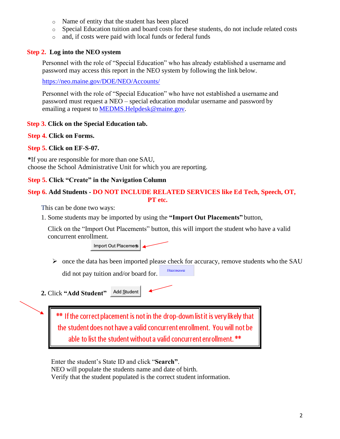- o Name of entity that the student has been placed
- o Special Education tuition and board costs for these students, do not include related costs
- o and, if costs were paid with local funds or federal funds

#### **Step 2. Log into the NEO system**

Personnel with the role of "Special Education" who has already established a username and password may access this report in the NEO system by following the link below.

<https://neo.maine.gov/DOE/NEO/Accounts/>

Personnel with the role of "Special Education" who have not established a username and password must request a NEO – special education modular username and password by emailing a request to [MEDMS.Helpdesk@maine.gov.](mailto:MEDMS.Helpdesk@maine.gov)

#### **Step 3. Click on the Special Education tab.**

**Step 4. Click on Forms.**

#### **Step 5. Click on EF-S-07.**

**\***If you are responsible for more than one SAU, choose the School Administrative Unit for which you are reporting.

#### **Step 5. Click "Create" in the Navigation Column**

### **Step 6. Add Students - DO NOT INCLUDE RELATED SERVICES like Ed Tech, Speech, OT,**

 **PT etc.** 

This can be done two ways:

1. Some students may be imported by using the **"Import Out Placements"** button,

Click on the "Import Out Placements" button, this will import the student who have a valid concurrent enrollment.

Import Out Placemers

➢ once the data has been imported please check for accuracy, remove students who the SAU Remove

did not pay tuition and/or board for.

Add Student **2.** Click **"Add Student"** 

> \*\* If the correct placement is not in the drop-down list it is very likely that the student does not have a valid concurrent enrollment. You will not be able to list the student without a valid concurrent enrollment. \*\*

Enter the student's State ID and click "**Search"**.

NEO will populate the students name and date of birth.

Verify that the student populated is the correct student information.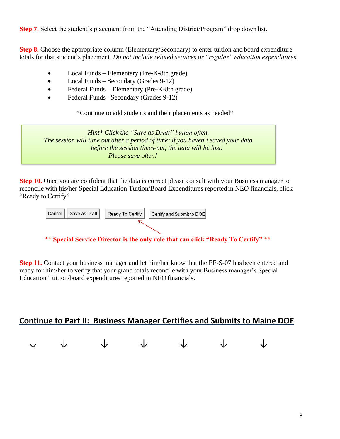**Step 7.** Select the student's placement from the "Attending District/Program" drop down list.

**Step 8.** Choose the appropriate column (Elementary/Secondary) to enter tuition and board expenditure totals for that student's placement. *Do not include related services or "regular" education expenditures.*

- Local Funds Elementary (Pre-K-8th grade)
- Local Funds Secondary (Grades 9-12)
- Federal Funds Elementary (Pre-K-8th grade)
- Federal Funds– Secondary (Grades 9-12)

\*Continue to add students and their placements as needed\*

*Hint\* Click the "Save as Draft" button often. The session will time out after a period of time; if you haven't saved your data before the session times-out, the data will be lost. Please save often!*

**Step 10.** Once you are confident that the data is correct please consult with your Business manager to reconcile with his/her Special Education Tuition/Board Expenditures reported in NEO financials, click "Ready to Certify"



#### **\*\* Special Service Director is the only role that can click "Ready To Certify" \*\***

**Step 11.** Contact your business manager and let him/her know that the EF-S-07 has been entered and ready for him/her to verify that your grand totals reconcile with your Business manager's Special Education Tuition/board expenditures reported in NEO financials.

## **Continue to Part II: Business Manager Certifies and Submits to Maine DOE**

|  | $\begin{array}{ccccccccccccccccc} \downarrow & & \downarrow & & \downarrow & & \downarrow & & \downarrow & & \downarrow & & \downarrow & & \downarrow \end{array}$ |  |  |
|--|--------------------------------------------------------------------------------------------------------------------------------------------------------------------|--|--|
|  |                                                                                                                                                                    |  |  |